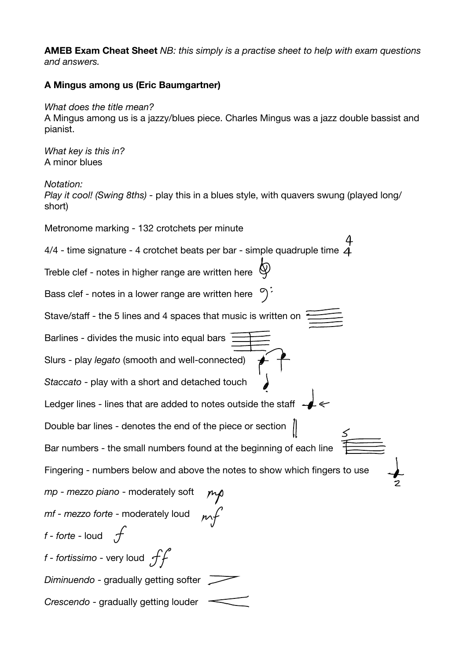**AMEB Exam Cheat Sheet** *NB: this simply is a practise sheet to help with exam questions and answers.* 

## **A Mingus among us (Eric Baumgartner)**

## *What does the title mean?*

A Mingus among us is a jazzy/blues piece. Charles Mingus was a jazz double bassist and pianist.

*What key is this in?*  A minor blues

*Notation:* 

*Play it cool! (Swing 8ths) -* play this in a blues style, with quavers swung (played long/ short)

Metronome marking - 132 crotchets per minute 4/4 - time signature - 4 crotchet beats per bar - simple quadruple time  $\vec{4}$ Treble clef - notes in higher range are written here Bass clef - notes in a lower range are written here  $\sqrt[6]{n}$ Stave/staff - the 5 lines and 4 spaces that music is written on Barlines - divides the music into equal bars Slurs - play *legato* (smooth and well-connected) *Staccato* - play with a short and detached touch Ledger lines - lines that are added to notes outside the staff -Double bar lines - denotes the end of the piece or section Bar numbers - the small numbers found at the beginning of each line Fingering - numbers below and above the notes to show which fingers to use *mp - mezzo piano* - moderately soft *mf - mezzo forte* - moderately loud *f* - *forte* - loud  $\mathcal{F}$  $f$  - fortissimo - very loud  $ff$ *Diminuendo* - gradually getting softer *Crescendo* - gradually getting louder